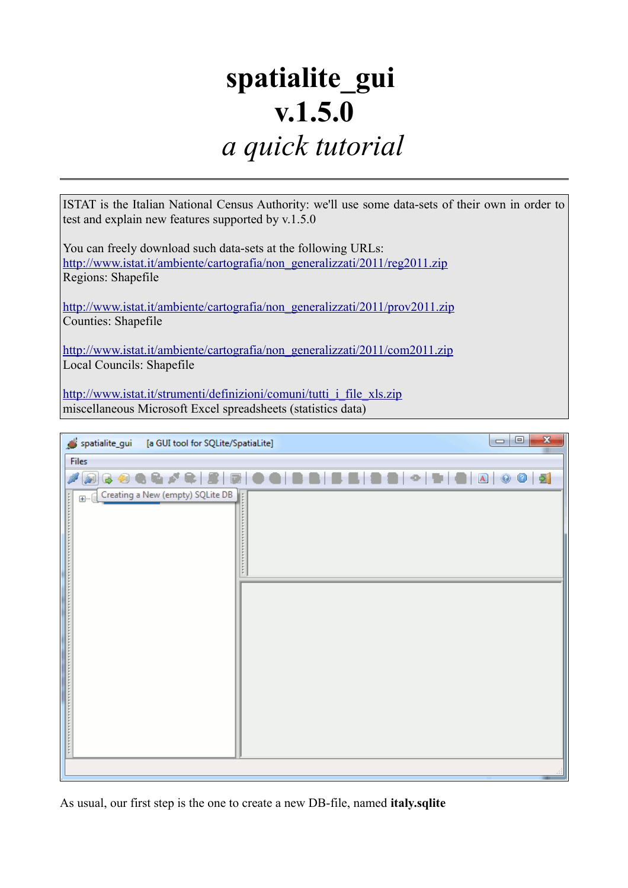# **spatialite\_gui v.1.5.0** *a quick tutorial*

ISTAT is the Italian National Census Authority: we'll use some data-sets of their own in order to test and explain new features supported by v.1.5.0

You can freely download such data-sets at the following URLs: [http://www.istat.it/ambiente/cartografia/non\\_generalizzati/2011/reg2011.zip](http://www.istat.it/ambiente/cartografia/non_generalizzati/2011/reg2011.zip) Regions: Shapefile

[http://www.istat.it/ambiente/cartografia/non\\_generalizzati/2011/prov2011.zip](http://www.istat.it/ambiente/cartografia/non_generalizzati/2011/prov2011.zip) Counties: Shapefile

[http://www.istat.it/ambiente/cartografia/non\\_generalizzati/2011/com2011.zip](http://www.istat.it/ambiente/cartografia/non_generalizzati/2011/com2011.zip) Local Councils: Shapefile

[http://www.istat.it/strumenti/definizioni/comuni/tutti\\_i\\_file\\_xls.zip](http://www.istat.it/strumenti/definizioni/comuni/tutti_i_file_xls.zip) miscellaneous Microsoft Excel spreadsheets (statistics data)

| spatialite_gui<br>[a GUI tool for SQLite/SpatiaLite] | $\mathbf{x}$<br>$\Box$<br>$\blacksquare$          |
|------------------------------------------------------|---------------------------------------------------|
| <b>Files</b>                                         |                                                   |
|                                                      | 8 8 9 6 6 7 6 8 6 0 6 8 8 8 8 9 0 0 1 0 8 8 9 9 9 |
| Creating a New (empty) SQLite DB<br>E-1              |                                                   |
|                                                      |                                                   |

As usual, our first step is the one to create a new DB-file, named **italy.sqlite**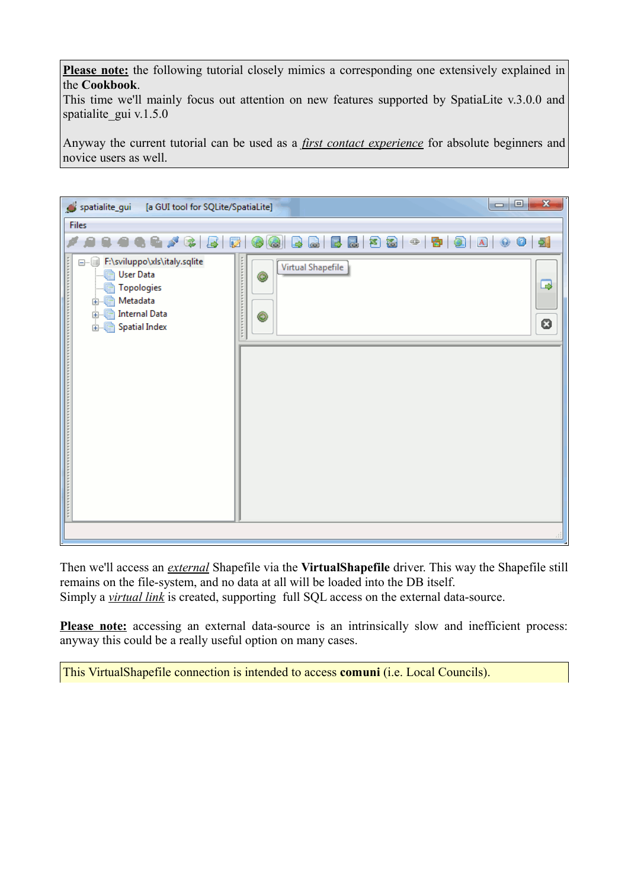**Please note:** the following tutorial closely mimics a corresponding one extensively explained in the **Cookbook**.

This time we'll mainly focus out attention on new features supported by SpatiaLite v.3.0.0 and spatialite gui v.1.5.0

Anyway the current tutorial can be used as a *first contact experience* for absolute beginners and novice users as well.

| spatialite_gui<br>[a GUI tool for SQLite/SpatiaLite]                                                                                                  | $\mathbf{x}$<br>$\Box$ e                                                                                                                                       |
|-------------------------------------------------------------------------------------------------------------------------------------------------------|----------------------------------------------------------------------------------------------------------------------------------------------------------------|
| Files                                                                                                                                                 |                                                                                                                                                                |
| 电电声学<br>Ø<br>$\overline{\mathbb{R}}$                                                                                                                  | ■ 2 2 →<br>31<br>B<br>$\begin{array}{ c c c c }\n\hline\n\textbf{B} & \textbf{0} & \textbf{A} & \textbf{0}\n\end{array}$<br>$\bullet$ 5<br>$\bullet$<br>G<br>B |
| F:\sviluppo\xls\italy.sqlite<br>8-0<br><b>User Data</b><br>扁<br>Topologies<br>Metadata<br>扁<br>由…<br>由 <b>Internal Data</b><br><b>E</b> Spatial Index | Virtual Shapefile<br>◉<br>B<br>◉<br>O                                                                                                                          |
|                                                                                                                                                       |                                                                                                                                                                |

Then we'll access an *external* Shapefile via the **VirtualShapefile** driver. This way the Shapefile still remains on the file-system, and no data at all will be loaded into the DB itself. Simply a *virtual link* is created, supporting full SQL access on the external data-source.

**Please note:** accessing an external data-source is an intrinsically slow and inefficient process: anyway this could be a really useful option on many cases.

This VirtualShapefile connection is intended to access **comuni** (i.e. Local Councils).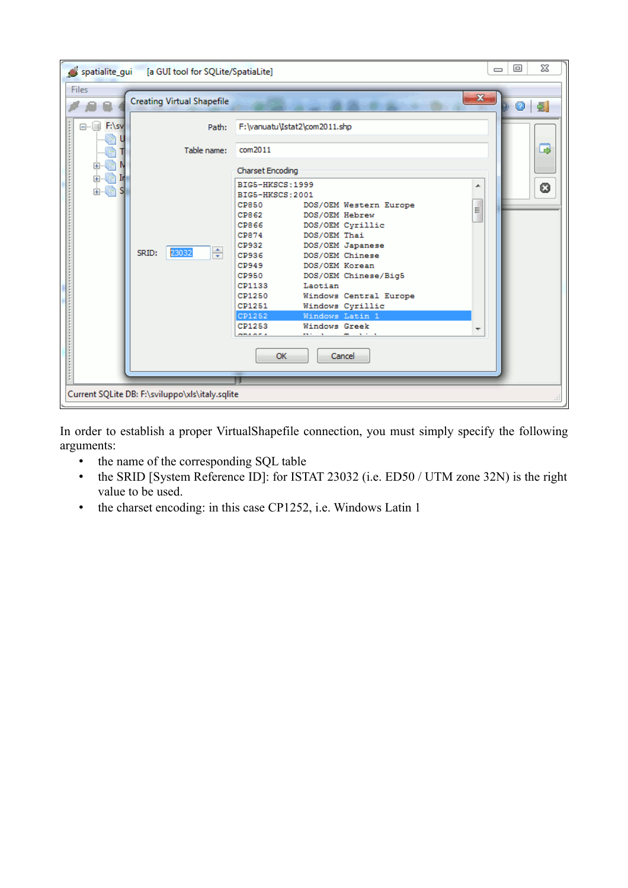

In order to establish a proper VirtualShapefile connection, you must simply specify the following arguments:

- the name of the corresponding SQL table
- the SRID [System Reference ID]: for ISTAT 23032 (i.e. ED50 / UTM zone 32N) is the right value to be used.
- the charset encoding: in this case CP1252, i.e. Windows Latin 1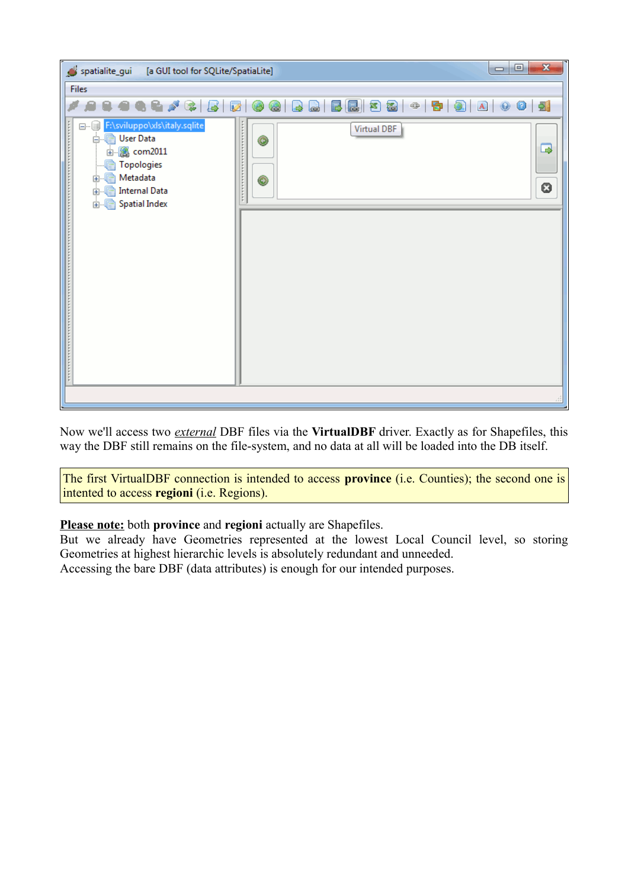| spatialite_gui<br>[a GUI tool for SQLite/SpatiaLite]                                                                                                                | $\mathbf{x}$<br>$\vert \mathbf{0} \vert$                |
|---------------------------------------------------------------------------------------------------------------------------------------------------------------------|---------------------------------------------------------|
| Files                                                                                                                                                               |                                                         |
| <b>966/2</b><br>$\mathbb{R}$                                                                                                                                        | 88-690A00<br>囻<br>$\sqrt{2}$<br>Ø<br>۵<br>$\Rightarrow$ |
| F:\sviluppo\xls\italy.sqlite<br>8-0<br>白 Ber Data<br>由 com2011<br>Topologies<br>Metadata<br>è<br>$+$<br><b>Internal Data</b><br>ra<br><b>中</b> …<br>由 Spatial Index | .<br><b>Virtual DBF</b><br>◉<br>B<br>◉<br>0             |
|                                                                                                                                                                     |                                                         |

Now we'll access two *external* DBF files via the **VirtualDBF** driver. Exactly as for Shapefiles, this way the DBF still remains on the file-system, and no data at all will be loaded into the DB itself.

The first VirtualDBF connection is intended to access **province** (i.e. Counties); the second one is intented to access **regioni** (i.e. Regions).

#### **Please note:** both **province** and **regioni** actually are Shapefiles.

But we already have Geometries represented at the lowest Local Council level, so storing Geometries at highest hierarchic levels is absolutely redundant and unneeded.

Accessing the bare DBF (data attributes) is enough for our intended purposes.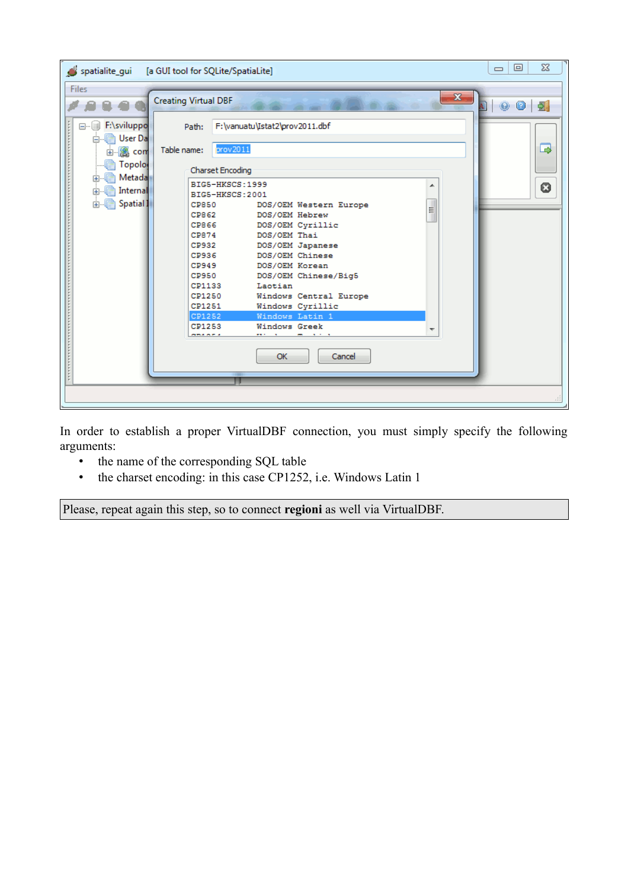| spatialite_gui                                                                                                                           | [a GUI tool for SQLite/SpatiaLite]                                                                                                                                                                                                                                                                                                                                                                                                                                                                                                                                                                                         | $\Sigma$<br>回<br>$\qquad \qquad \Box$ |
|------------------------------------------------------------------------------------------------------------------------------------------|----------------------------------------------------------------------------------------------------------------------------------------------------------------------------------------------------------------------------------------------------------------------------------------------------------------------------------------------------------------------------------------------------------------------------------------------------------------------------------------------------------------------------------------------------------------------------------------------------------------------------|---------------------------------------|
| Files<br>□ F:\sviluppo<br>白 · hall User Da<br>由 图 com<br><b>Topolo</b><br><b>letada</b><br>中<br>由 <b>light</b> Internal<br>由 图 Spatial I | $\mathbf{x}$<br><b>Creating Virtual DBF</b><br>F:\vanuatu\Istat2\prov2011.dbf<br>Path:<br>prov2011<br>Table name:<br>Charset Encoding<br>BIG5-HKSCS: 1999<br>▲<br>BIG5-HKSCS:2001<br><b>CP850</b><br>DOS/OEM Western Europe<br>Ξ<br>CP862<br>DOS/OEM Hebrew<br>CP866<br>DOS/OEM Cyrillic<br>CP874<br>DOS/OEM Thai<br>CP932<br>DOS/OEM Japanese<br>CP936<br>DOS/OEM Chinese<br>CP949<br>DOS/OEM Korean<br><b>CP950</b><br>DOS/OEM Chinese/Big5<br>CP1133<br>Laotian<br>CP1250<br>Windows Central Europe<br>CP1251<br>Windows Cyrillic<br>CP1252<br>Windows Latin 1<br>CP1253<br>Windows Greek<br>. <i>.</i><br>OK<br>Cancel | 0<br>B<br>0                           |
|                                                                                                                                          |                                                                                                                                                                                                                                                                                                                                                                                                                                                                                                                                                                                                                            |                                       |

In order to establish a proper VirtualDBF connection, you must simply specify the following arguments:

- the name of the corresponding SQL table
- the charset encoding: in this case CP1252, i.e. Windows Latin 1

Please, repeat again this step, so to connect **regioni** as well via VirtualDBF.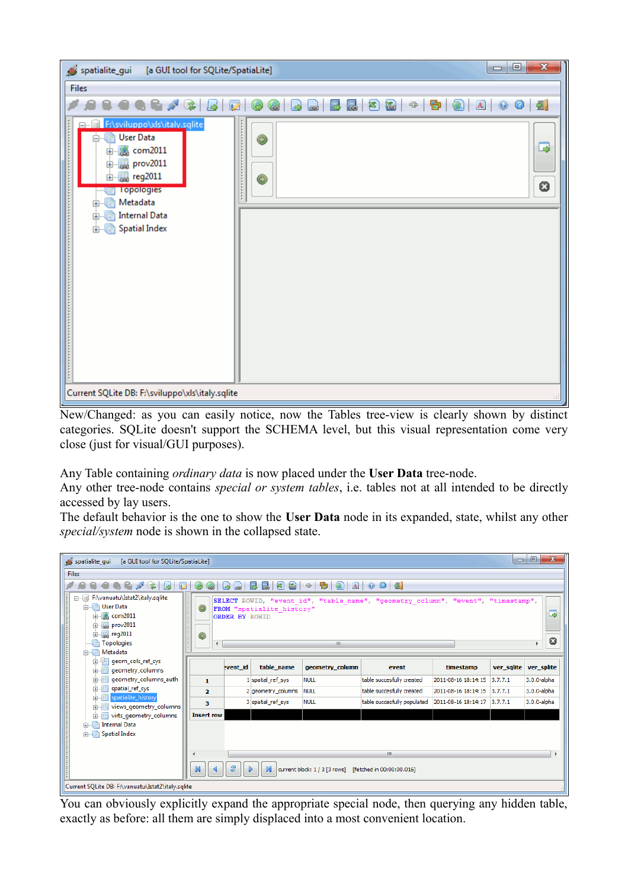| $\mathbf{x}$<br>$\Box$<br><b>D</b><br>spatialite_gui<br>[a GUI tool for SQLite/SpatiaLite]                                                                                                                                                                     |
|----------------------------------------------------------------------------------------------------------------------------------------------------------------------------------------------------------------------------------------------------------------|
| Files                                                                                                                                                                                                                                                          |
| 5 8 3 - 5 3 A 0 1<br>电动产学<br>Ø<br>囻<br>G<br>LS.<br>$\Rightarrow$<br>$\bullet$<br>G                                                                                                                                                                             |
| F:\sviluppo\xls\italy.sqlite<br>$\frac{1}{2}$<br>.<br>la User Data<br>Ėŀ<br>◉<br>B<br>由 <b>@</b> com2011<br>Bprov2011<br>.<br>田<br><b>B</b> reg2011<br>F-<br>◉<br>O<br><b>Topologies</b><br>由 图 Metadata<br><b>Internal Data</b><br>扁<br>由.<br>由 Spatial Index |
| Current SQLite DB: F:\sviluppo\xls\italy.sqlite                                                                                                                                                                                                                |

New/Changed: as you can easily notice, now the Tables tree-view is clearly shown by distinct categories. SQLite doesn't support the SCHEMA level, but this visual representation come very close (just for visual/GUI purposes).

Any Table containing *ordinary data* is now placed under the **User Data** tree-node.

Any other tree-node contains *special or system tables*, i.e. tables not at all intended to be directly accessed by lay users.

The default behavior is the one to show the **User Data** node in its expanded, state, whilst any other *special/system* node is shown in the collapsed state.

| spatialite_qui<br>[a GUI tool for SQLite/SpatiaLite]                                                                                                         |   |                         |                       |                           |                                                         |                                                                                  |                             |                       | $= 0$       | $-22$  |
|--------------------------------------------------------------------------------------------------------------------------------------------------------------|---|-------------------------|-----------------------|---------------------------|---------------------------------------------------------|----------------------------------------------------------------------------------|-----------------------------|-----------------------|-------------|--------|
| <b>Files</b>                                                                                                                                                 |   |                         |                       |                           |                                                         |                                                                                  |                             |                       |             |        |
|                                                                                                                                                              |   |                         |                       | 弩<br>福<br>圜               | Ð<br>$\bullet$<br> A <br>$\oplus$                       | 901                                                                              |                             |                       |             |        |
| F:\vanuatu\Istat2\italy.sqlite<br>白 · hall User Data<br>由 <b>&amp;</b> com2011<br>由 <b>prov2011</b><br>由 图 reg2011<br><b>Topologies</b><br><b>A</b> Metadata |   | ◉<br>◉                  | <b>ORDER BY ROWID</b> | FROM "spatialite history" | $\mathbf{m}$                                            | SELECT ROWID, "event id", "table name", "geometry column", "event", "timestamp", |                             |                       |             | 国<br>O |
| in geometry_columns                                                                                                                                          |   |                         | went id               | table name                | geometry_column                                         | event                                                                            | timestamp                   | ver sqlite ver splite |             |        |
| 由 geometry_columns_auth                                                                                                                                      |   | $\mathbf{1}$            |                       | 1 spatial_ref_sys         | <b>NULL</b>                                             | table succesfully created                                                        | 2011-08-16 18:14:15         | 3,7,7,1               | 3.0.0-alpha |        |
| in spatial_ref_sys                                                                                                                                           |   | $\overline{\mathbf{z}}$ |                       | 2 geometry_columns        | <b>NULL</b>                                             | table succesfully created                                                        | 2011-08-16 18:14:15         | 3,7,7,1               | 3.0.0-alpha |        |
| 由 spatialite_history<br>由 Wiews_geometry_columns                                                                                                             |   | 3                       |                       | 3 spatial ref sys         | <b>NULL</b>                                             | table succesfully populated                                                      | 2011-08-16 18:14:17 3.7.7.1 |                       | 3.0.0-alpha |        |
| in Fig. 1 virts_geometry_columns                                                                                                                             |   | <b>Insert row</b>       |                       |                           |                                                         |                                                                                  |                             |                       |             |        |
| <b>A. The Internal Data</b><br><b>E</b> Spatial Index                                                                                                        | M |                         | 8                     |                           | current block: 1 / 3 [3 rows] [fetched in 00:00:00.016] | m.                                                                               |                             |                       |             |        |
| Current SQLite DB: F:\vanuatu\Istat2\italy.sqlite                                                                                                            |   |                         |                       |                           |                                                         |                                                                                  |                             |                       |             |        |

You can obviously explicitly expand the appropriate special node, then querying any hidden table, exactly as before: all them are simply displaced into a most convenient location.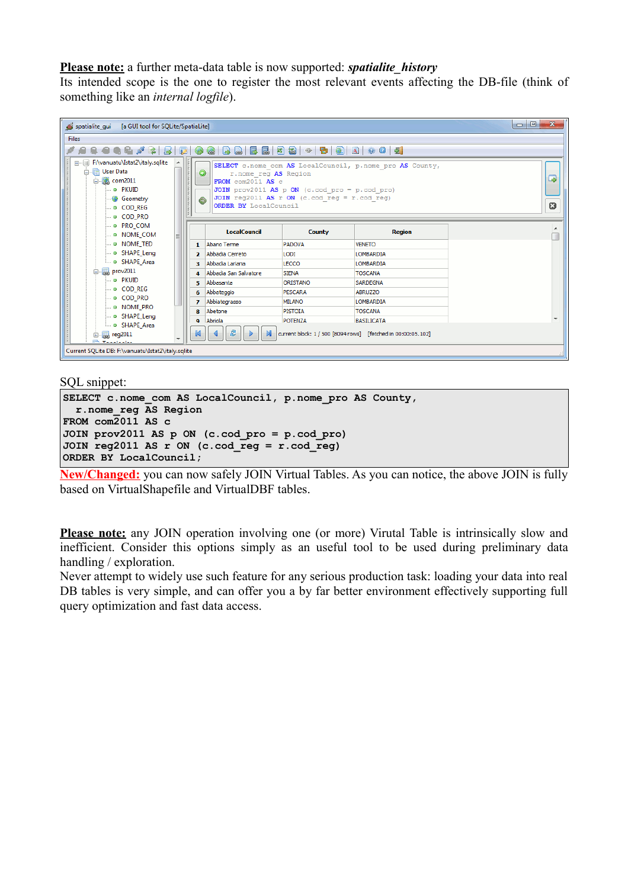#### **Please note:** a further meta-data table is now supported: *spatialite\_history*

Its intended scope is the one to register the most relevant events affecting the DB-file (think of something like an *internal logfile*).

| spatialite qui [a GUI tool for SQLite/SpatiaLite]                                                                                                            |                |                                                                              |                                                                                                    |                                                              | $\mathbf{x}$<br>$- 0$ |  |  |  |
|--------------------------------------------------------------------------------------------------------------------------------------------------------------|----------------|------------------------------------------------------------------------------|----------------------------------------------------------------------------------------------------|--------------------------------------------------------------|-----------------------|--|--|--|
| <b>Files</b>                                                                                                                                                 |                |                                                                              |                                                                                                    |                                                              |                       |  |  |  |
| 8 8 4 4 6 <i>7</i> 6 6 6 6 6 6 6 6 6 6 6 <sup>4</sup> 7 6 7 6 7                                                                                              |                |                                                                              |                                                                                                    |                                                              |                       |  |  |  |
| □ F:\vanuatu\Istat2\italy.sqlite<br>$\blacktriangle$<br>白 <b>luser Data</b><br>白 & com2011<br>o PKUID<br><b>Geometry</b><br><b>COD REG</b><br><b>COD PRO</b> |                | ◉<br>r.nome reg AS Region<br>FROM com2011 AS c<br>⊙<br>ORDER BY LocalCouncil | JOIN prov2011 AS $p$ ON (c.cod $pro = p.cod pro$ )<br>JOIN reg2011 AS r ON (c.cod reg = r.cod reg) | SELECT c.nome com AS LocalCouncil, p.nome pro AS County,     | $\Box$<br>0           |  |  |  |
| <b>O</b> PRO_COM<br><b>ODDINAL COM</b><br>티                                                                                                                  |                | <b>LocalCouncil</b>                                                          | <b>County</b>                                                                                      | <b>Region</b>                                                | ▴                     |  |  |  |
| <b>O</b> NOME TED                                                                                                                                            | $\mathbf{1}$   | Abano Terme                                                                  | PADOVA                                                                                             | <b>VENETO</b>                                                |                       |  |  |  |
| <b>DESHAPE Leng</b><br><b>DE SHAPE Area</b>                                                                                                                  |                | 2 Abbadia Cerreto<br>3 Abbadia Lariana                                       | LODI<br>LECCO                                                                                      | <b>LOMBARDIA</b><br><b>LOMBARDIA</b>                         |                       |  |  |  |
| 白 图 prov2011                                                                                                                                                 |                | Abbadia San Salvatore                                                        | <b>SIENA</b>                                                                                       | <b>TOSCANA</b>                                               |                       |  |  |  |
| <sub>…</sub> @ PKUID                                                                                                                                         | 5.             | Abbasanta                                                                    | ORISTANO                                                                                           | <b>SARDEGNA</b>                                              |                       |  |  |  |
| <b>COD REG</b>                                                                                                                                               |                | Abbateggio                                                                   | PESCARA                                                                                            | <b>ABRUZZO</b>                                               |                       |  |  |  |
| <b>COD PRO</b>                                                                                                                                               | $\overline{ }$ | Abbiategrasso                                                                | <b>MILANO</b>                                                                                      | LOMBARDIA                                                    |                       |  |  |  |
| <b>BED NOME PRO</b><br>O SHAPE Leng                                                                                                                          | 8              | Abetone                                                                      | <b>PISTOIA</b>                                                                                     | <b>TOSCANA</b>                                               |                       |  |  |  |
| <b>SHAPE Area</b>                                                                                                                                            | ۰              | Abriola                                                                      | <b>POTENZA</b>                                                                                     | <b>BASILICATA</b>                                            |                       |  |  |  |
| 由 图 reg2011<br><b>Contact Telephone State</b>                                                                                                                | K              | g                                                                            |                                                                                                    | current block: 1 / 500 [8094 rows] [fetched in 00:00:05.102] |                       |  |  |  |
| Current SQLite DB: F:\vanuatu\Istat2\italy.sqlite                                                                                                            |                |                                                                              |                                                                                                    |                                                              |                       |  |  |  |

SQL snippet:

```
SELECT c.nome_com AS LocalCouncil, p.nome_pro AS County,
   r.nome_reg AS Region
FROM com2011 AS c
JOIN prov2011 AS p ON (c.cod_pro = p.cod_pro)
JOIN reg2011 AS r ON (c.cod_reg = r.cod_reg)
ORDER BY LocalCouncil;
```
**New/Changed:** you can now safely JOIN Virtual Tables. As you can notice, the above JOIN is fully based on VirtualShapefile and VirtualDBF tables.

**Please note:** any JOIN operation involving one (or more) Virutal Table is intrinsically slow and inefficient. Consider this options simply as an useful tool to be used during preliminary data handling / exploration.

Never attempt to widely use such feature for any serious production task: loading your data into real DB tables is very simple, and can offer you a by far better environment effectively supporting full query optimization and fast data access.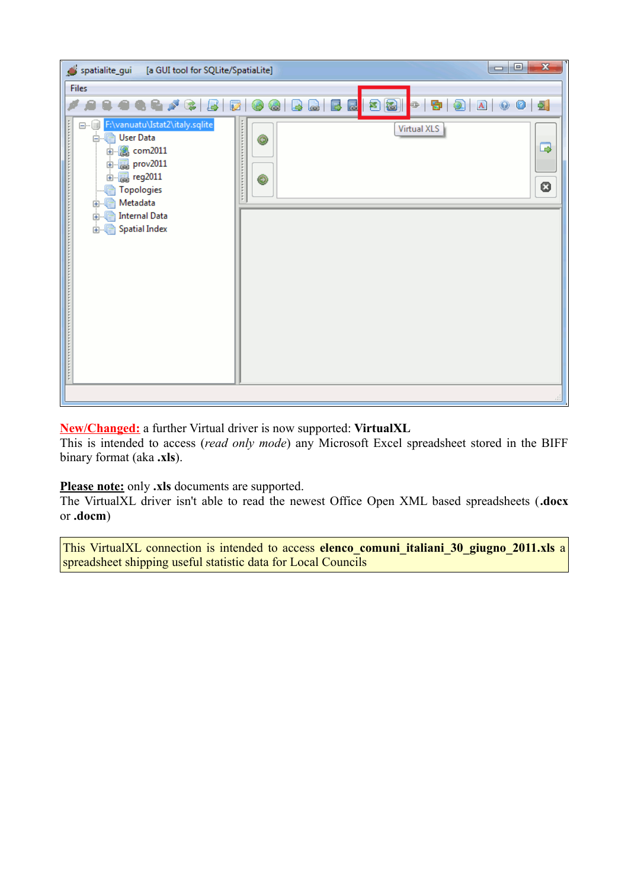

#### **New/Changed:** a further Virtual driver is now supported: **VirtualXL**

This is intended to access (*read only mode*) any Microsoft Excel spreadsheet stored in the BIFF binary format (aka **.xls**).

#### **Please note:** only **.xls** documents are supported.

The VirtualXL driver isn't able to read the newest Office Open XML based spreadsheets (**.docx** or **.docm**)

This VirtualXL connection is intended to access **elenco\_comuni\_italiani\_30\_giugno\_2011.xls** a spreadsheet shipping useful statistic data for Local Councils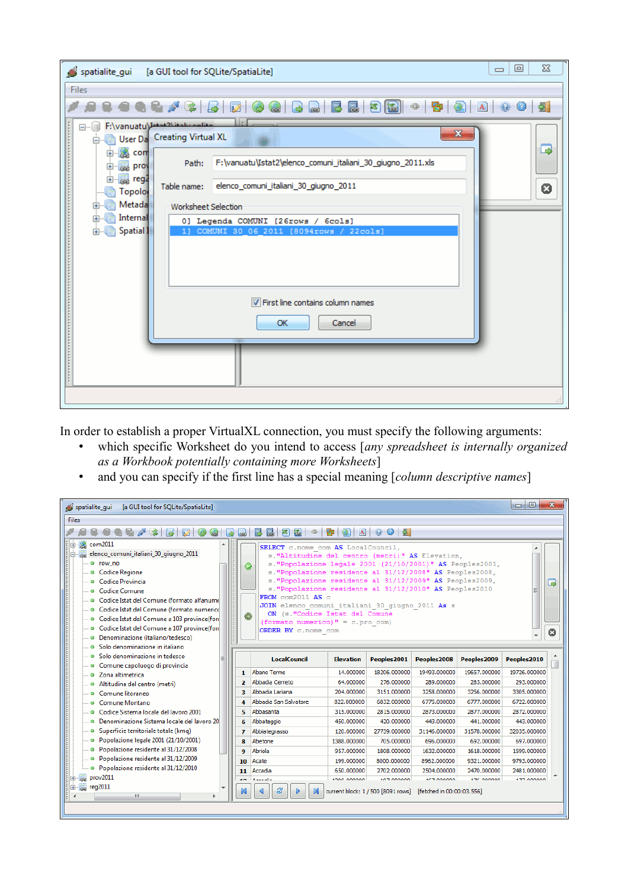| spatialite_gui [a GUI tool for SQLite/SpatiaLite]                                   |                                                                                                                                    | $\Sigma$<br>▣<br>$\Box$ |
|-------------------------------------------------------------------------------------|------------------------------------------------------------------------------------------------------------------------------------|-------------------------|
| Files                                                                               |                                                                                                                                    |                         |
| & <i>&amp;</i> & B & &                                                              | GIBBEBBBB+BBBDD005                                                                                                                 |                         |
| F:\vanuatu\Intert <sup>2\ite</sup> sheedite<br><b>Dealer Da</b> Creating Virtual XL | $\mathbf{x}$                                                                                                                       |                         |
| <b>⊞</b> com<br>Path:<br>由 图 prov                                                   | F:\vanuatu\Istat2\elenco_comuni_italiani_30_giugno_2011.xls                                                                        | B                       |
| 由 <mark>屡</mark> reg2<br>Table name:<br><b>Topolo</b>                               | elenco_comuni_italiani_30_giugno_2011                                                                                              | 0                       |
| 由 图 Metada<br>Worksheet Selection<br><b>■ Internal</b><br>由…<br>由 Spatial 1         | 0] Legenda COMUNI [26rows / 6cols]<br>1] COMUNI 30 06 2011 [8094rows / 22cols]<br>First line contains column names<br>Cancel<br>OK |                         |
|                                                                                     |                                                                                                                                    |                         |
|                                                                                     |                                                                                                                                    |                         |

In order to establish a proper VirtualXL connection, you must specify the following arguments:

- which specific Worksheet do you intend to access [*any spreadsheet is internally organized as a Workbook potentially containing more Worksheets*]
- and you can specify if the first line has a special meaning [*column descriptive names*]

| $-10$<br>spatialite_qui<br>[a GUI tool for SQLite/SpatiaLite]                                                                                 |                                    |                                                                                                                     |                  |                 |                   |                   |                  |    |  |
|-----------------------------------------------------------------------------------------------------------------------------------------------|------------------------------------|---------------------------------------------------------------------------------------------------------------------|------------------|-----------------|-------------------|-------------------|------------------|----|--|
| Files                                                                                                                                         |                                    |                                                                                                                     |                  |                 |                   |                   |                  |    |  |
| 444 F & B & G &<br>$\bullet$ 5<br>$\rightarrow$<br>$\overline{\mathbf{a}}$ .<br>B<br>智<br>谥<br>$\oplus$<br>$ {\bf A} $<br>$\overline{a}$<br>昏 |                                    |                                                                                                                     |                  |                 |                   |                   |                  |    |  |
| com2011                                                                                                                                       | SELECT c.nome com AS LocalCouncil, |                                                                                                                     |                  |                 |                   |                   |                  |    |  |
| elenco_comuni_italiani_30_giugno_2011                                                                                                         |                                    | s. "Altitudine del centro (metri)" AS Elevation,                                                                    |                  |                 |                   |                   |                  |    |  |
| <sup>®</sup> row no                                                                                                                           | $\bullet$                          | s. "Popolazione legale 2001 (21/10/2001)" AS Peoples2001,                                                           |                  |                 |                   |                   |                  |    |  |
| <b>Codice Regione</b>                                                                                                                         |                                    | s. "Popolazione residente al 31/12/2008" AS Peoples2008,                                                            |                  |                 |                   |                   |                  |    |  |
| <b>O</b> Codice Provincia                                                                                                                     |                                    | s. "Popolazione residente al 31/12/2009" AS Peoples2009,<br>s. "Popolazione residente al 31/12/2010" AS Peoples2010 |                  |                 |                   |                   |                  | ھا |  |
| <sup>o</sup> Codice Comune                                                                                                                    |                                    | FROM com2011 AS c                                                                                                   |                  |                 |                   |                   |                  |    |  |
| . Codice Istat del Comune (formato alfanume                                                                                                   |                                    | JOIN elenco comuni italiani 30 giugno 2011 As s                                                                     |                  |                 |                   |                   |                  |    |  |
| · Codice Istat del Comune (formato numerico                                                                                                   | ◉                                  | ON (s. "Codice Istat del Comune                                                                                     |                  |                 |                   |                   |                  |    |  |
| · Codice Istat del Comune a 103 province(for<br>· Codice Istat del Comune a 107 province(for                                                  |                                    | (formato numerico) $" = c.pro com$ )                                                                                |                  |                 |                   |                   |                  |    |  |
| · Denominazione (italiano/tedesco)                                                                                                            |                                    | ORDER BY c.nome com                                                                                                 |                  |                 |                   |                   |                  | 0  |  |
| Solo denominazione in italiano<br>۰                                                                                                           |                                    |                                                                                                                     |                  |                 |                   |                   |                  |    |  |
| Solo denominazione in tedesco<br>۰                                                                                                            |                                    |                                                                                                                     |                  |                 |                   |                   |                  |    |  |
| Comune capoluogo di provincia<br>۰                                                                                                            |                                    | <b>LocalCouncil</b>                                                                                                 | <b>Elevation</b> | Peoples2001     | Peoples2008       | Peoples2009       | Peoples2010      |    |  |
| · Zona altimetrica                                                                                                                            | $\mathbf{1}$                       | Abano Terme                                                                                                         | 14.000000        | 18206.000000    | 19493.000000      | 19657.000000      | 19726.000000     |    |  |
| Altitudine del centro (metri)<br>۰                                                                                                            | $\overline{2}$                     | Abbadia Cerreto                                                                                                     | 64,000000        | 276,000000      | 289,000000        | 283,000000        | 293,000000       |    |  |
| Comune litoraneo<br>۰                                                                                                                         | 3                                  | Abbadia Lariana                                                                                                     | 204.000000       | 3151.000000     | 3258,000000       | 3256.000000       | 3305.000000      |    |  |
| Comune Montano<br>۰                                                                                                                           | 4                                  | Abbadia San Salvatore                                                                                               | 822.000000       | 6832.000000     | 6775.000000       | 6777.000000       | 6722.000000      |    |  |
| Codice Sistema locale del lavoro 2001<br>۰                                                                                                    | 5                                  | Abbasanta                                                                                                           | 315.000000       | 2815.000000     | 2873.000000       | 2877.000000       | 2872.000000      |    |  |
| Denominazione Sistema locale del lavoro 20<br>۰                                                                                               | 6                                  | Abbateggio                                                                                                          | 450.000000       | 420,000000      | 443,000000        | 441.000000        | 443.000000       |    |  |
| · Superficie territoriale totale (kmq)                                                                                                        | 7                                  | Abbiategrasso                                                                                                       | 120.000000       | 27739.000000    | 31146.000000      | 31578.000000      | 32035.000000     |    |  |
| Popolazione legale 2001 (21/10/2001)<br>۰                                                                                                     | 8                                  | Abetone                                                                                                             | 1388.000000      | 705.000000      | 696,000000        | 692.000000        | 697.000000       |    |  |
| Popolazione residente al 31/12/2008<br>۰                                                                                                      | 9                                  | Abriola                                                                                                             | 957.000000       | 1808.000000     | 1632.000000       | 1618.000000       | 1599.000000      |    |  |
| Popolazione residente al 31/12/2009<br>۰                                                                                                      | 10                                 | Acate                                                                                                               | 199,000000       | 8000.000000     | 8962.000000       | 9321.000000       | 9793.000000      |    |  |
| · Popolazione residente al 31/12/2010                                                                                                         | 11                                 | Accadia                                                                                                             | 650,000000       | 2702.000000     | 2504.000000       | 2470,000000       | 2481.000000      |    |  |
| $\boxed{E}$ prov2011                                                                                                                          | --                                 | A speciality                                                                                                        | shop poppon      | <b>SOONNATO</b> | <b>ICE DOODOO</b> | <b>ITE DODOOD</b> | <b>COOOD CEE</b> |    |  |
| 由 E reg2011<br>e<br>current block: 1 / 500 [8091 rows] [fetched in 00:00:03.556]<br>m.                                                        |                                    |                                                                                                                     |                  |                 |                   |                   |                  |    |  |
|                                                                                                                                               |                                    |                                                                                                                     |                  |                 |                   |                   |                  |    |  |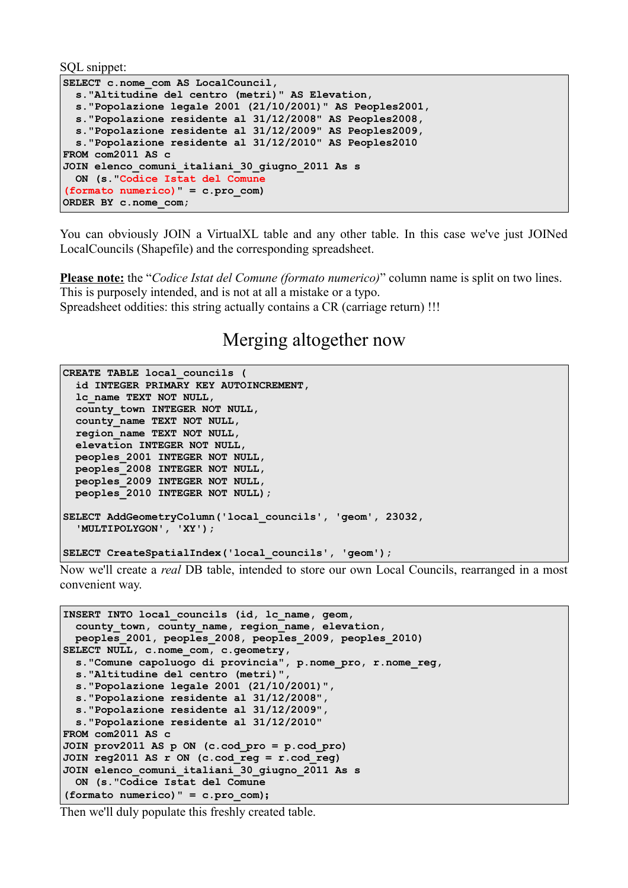SQL snippet:

```
SELECT c.nome com AS LocalCouncil,
   s."Altitudine del centro (metri)" AS Elevation,
   s."Popolazione legale 2001 (21/10/2001)" AS Peoples2001,
   s."Popolazione residente al 31/12/2008" AS Peoples2008,
  s."Popolazione residente al 31/12/2009" AS Peoples2009,
  s."Popolazione residente al 31/12/2010" AS Peoples2010
FROM com2011 AS c
JOIN elenco_comuni_italiani_30_giugno_2011 As s
  ON (s."Codice Istat del Comune 
(formato numerico)" = c.pro_com)
ORDER BY c.nome_com;
```
You can obviously JOIN a VirtualXL table and any other table. In this case we've just JOINed LocalCouncils (Shapefile) and the corresponding spreadsheet.

**Please note:** the "*Codice Istat del Comune (formato numerico)*" column name is split on two lines. This is purposely intended, and is not at all a mistake or a typo. Spreadsheet oddities: this string actually contains a CR (carriage return) !!!

### Merging altogether now

```
CREATE TABLE local_councils (
  id INTEGER PRIMARY KEY AUTOINCREMENT,
  lc_name TEXT NOT NULL,
  county_town INTEGER NOT NULL,
  county_name TEXT NOT NULL,
  region_name TEXT NOT NULL,
  elevation INTEGER NOT NULL,
  peoples_2001 INTEGER NOT NULL,
  peoples_2008 INTEGER NOT NULL,
  peoples_2009 INTEGER NOT NULL,
  peoples_2010 INTEGER NOT NULL);
SELECT AddGeometryColumn('local_councils', 'geom', 23032, 
  'MULTIPOLYGON', 'XY');
SELECT CreateSpatialIndex('local_councils', 'geom');
```
Now we'll create a *real* DB table, intended to store our own Local Councils, rearranged in a most convenient way.

```
INSERT INTO local_councils (id, lc_name, geom, 
  county_town, county_name, region_name, elevation, 
  peoples_2001, peoples_2008, peoples_2009, peoples_2010) 
SELECT NULL, c.nome_com, c.geometry, 
  s."Comune capoluogo di provincia", p.nome_pro, r.nome_reg, 
  s."Altitudine del centro (metri)",
  s."Popolazione legale 2001 (21/10/2001)",
  s."Popolazione residente al 31/12/2008",
  s."Popolazione residente al 31/12/2009",
  s."Popolazione residente al 31/12/2010"
FROM com2011 AS c
JOIN prov2011 AS p ON (c.cod_pro = p.cod_pro)
JOIN reg2011 AS r ON (c.cod_reg = r.cod_reg)
JOIN elenco_comuni_italiani_30_giugno_2011 As s
  ON (s."Codice Istat del Comune 
(formato numerico)" = c.pro_com);
```
Then we'll duly populate this freshly created table.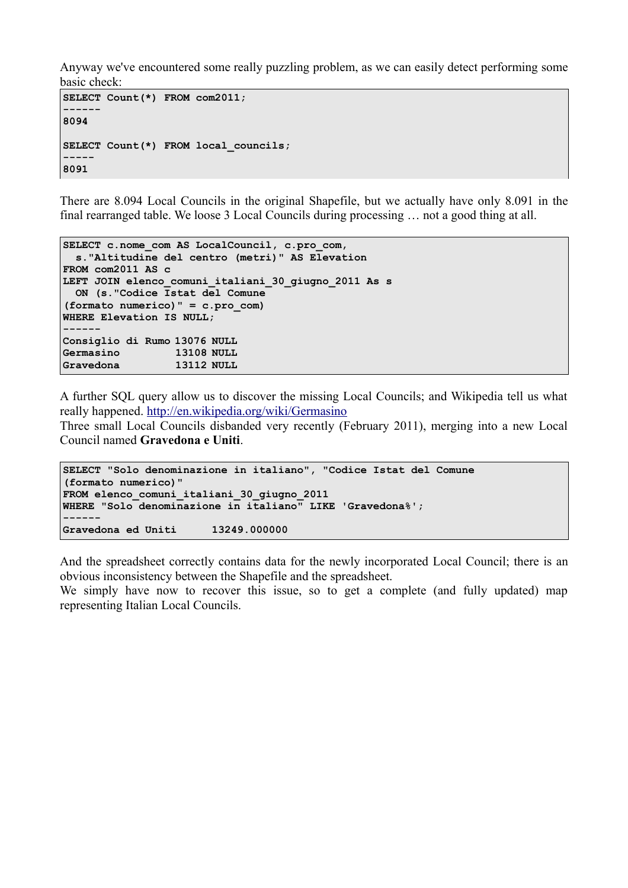Anyway we've encountered some really puzzling problem, as we can easily detect performing some basic check:

```
SELECT Count(*) FROM com2011;
------
8094
SELECT Count(*) FROM local_councils;
-----
8091
```
There are 8.094 Local Councils in the original Shapefile, but we actually have only 8.091 in the final rearranged table. We loose 3 Local Councils during processing … not a good thing at all.

```
SELECT c.nome com AS LocalCouncil, c.pro com,
  s."Altitudine del centro (metri)" AS Elevation
FROM com2011 AS c
LEFT JOIN elenco_comuni_italiani_30_giugno_2011 As s
  ON (s."Codice Istat del Comune 
(formato numerico)" = c.pro_com)
WHERE Elevation IS NULL;
 ------
Consiglio di Rumo 13076 NULL
Germasino 13108 NULL
Gravedona 13112 NULL
```
A further SQL query allow us to discover the missing Local Councils; and Wikipedia tell us what really happened.<http://en.wikipedia.org/wiki/Germasino>

Three small Local Councils disbanded very recently (February 2011), merging into a new Local Council named **Gravedona e Uniti**.

```
SELECT "Solo denominazione in italiano", "Codice Istat del Comune 
(formato numerico)"
FROM elenco_comuni_italiani_30_giugno_2011
WHERE "Solo denominazione in italiano" LIKE 'Gravedona%';
------
Gravedona ed Uniti 13249.000000
```
And the spreadsheet correctly contains data for the newly incorporated Local Council; there is an obvious inconsistency between the Shapefile and the spreadsheet.

We simply have now to recover this issue, so to get a complete (and fully updated) map representing Italian Local Councils.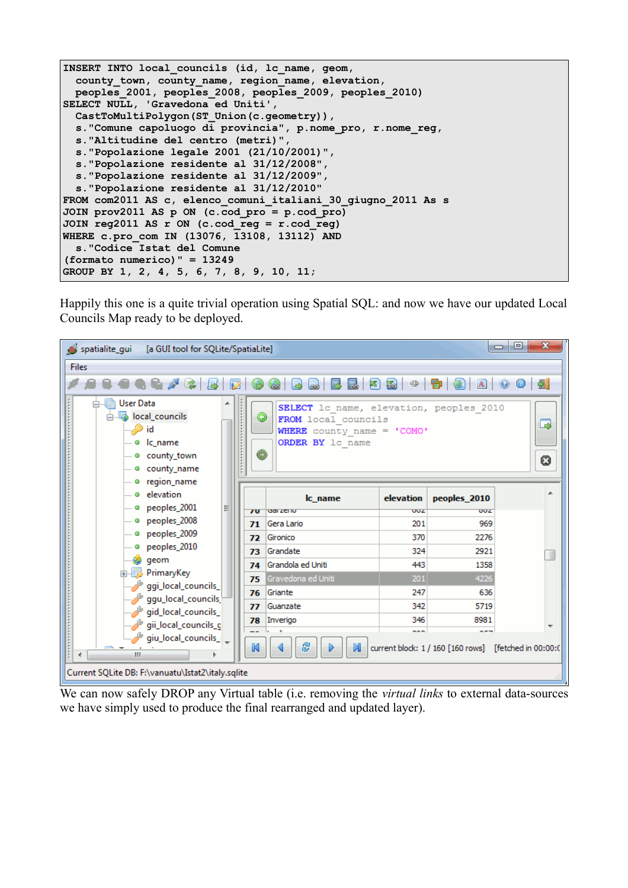```
INSERT INTO local_councils (id, lc_name, geom, 
  county_town, county_name, region_name, elevation, 
  peoples_2001, peoples_2008, peoples_2009, peoples_2010) 
SELECT NULL, 'Gravedona ed Uniti', 
  CastToMultiPolygon(ST_Union(c.geometry)), 
  s."Comune capoluogo di provincia", p.nome_pro, r.nome_reg, 
  s."Altitudine del centro (metri)",
  s."Popolazione legale 2001 (21/10/2001)",
  s."Popolazione residente al 31/12/2008",
  s."Popolazione residente al 31/12/2009",
  s."Popolazione residente al 31/12/2010"
FROM com2011 AS c, elenco_comuni_italiani_30_giugno_2011 As s
JOIN prov2011 AS p ON (c.cod_pro = p.cod_pro)
JOIN reg2011 AS r ON (c.cod_reg = r.cod_reg)
WHERE c.pro_com IN (13076, 13108, 13112) AND
  s."Codice Istat del Comune 
(formato numerico)" = 13249
GROUP BY 1, 2, 4, 5, 6, 7, 8, 9, 10, 11;
```
Happily this one is a quite trivial operation using Spatial SQL: and now we have our updated Local Councils Map ready to be deployed.

| spatialite_gui<br>[a GUI tool for SQLite/SpatiaLite]                                                                     |                                                                                                                            |            |                                                               | $\mathbf{x}$<br>o.<br>$\Box$ |  |  |  |  |
|--------------------------------------------------------------------------------------------------------------------------|----------------------------------------------------------------------------------------------------------------------------|------------|---------------------------------------------------------------|------------------------------|--|--|--|--|
| <b>Files</b>                                                                                                             |                                                                                                                            |            |                                                               |                              |  |  |  |  |
| $Q \mid \mathbf{p}$<br>网路<br>⊕<br>扈<br>昆<br> A                                                                           |                                                                                                                            |            |                                                               |                              |  |  |  |  |
| 白 帽 User Data<br>▴<br>in the local_councils<br>—""Olid<br>- o lc name<br>i © county town<br><b>Example 2</b> county_name | SELECT 1c name, elevation, peoples 2010<br>◉<br>FROM local councils<br>WHERE county name = 'COMO'<br>ORDER BY 1c name<br>◉ |            |                                                               | ⋑<br>0                       |  |  |  |  |
| - o region_name<br>$\Box$ $\bullet$ elevation<br>$\sim$ 0 peoples 2001<br>Ξ                                              | Ic name                                                                                                                    | elevation  | peoples 2010                                                  | ┻                            |  |  |  |  |
| $\overline{10}$<br>$\blacksquare$ $\blacksquare$ peoples 2008<br>71                                                      | <b>Gal ZCHU</b><br>Gera Lario                                                                                              | ooz<br>201 | ouz<br>969                                                    |                              |  |  |  |  |
| Decoples_2009<br>72                                                                                                      | Gironico                                                                                                                   | 370        | 2276                                                          |                              |  |  |  |  |
| $\blacksquare$ $\blacksquare$ peoples_2010<br>73                                                                         | Grandate                                                                                                                   | 324        | 2921                                                          |                              |  |  |  |  |
| — @ qeom<br>74                                                                                                           | Grandola ed Uniti                                                                                                          | 443        | 1358                                                          |                              |  |  |  |  |
| <b>E</b> PrimaryKey<br>75<br>ggi_local_councils_                                                                         | Gravedona ed Uniti                                                                                                         | 201        | 4226                                                          |                              |  |  |  |  |
| 76<br>_ggu_local_councils <sup>طل</sup> ى                                                                                | Griante                                                                                                                    | 247        | 636                                                           |                              |  |  |  |  |
| 77<br>gid_local_councils_                                                                                                | Guanzate                                                                                                                   | 342        | 5719                                                          |                              |  |  |  |  |
| 78<br>gii_local_councils_g                                                                                               | Inverigo                                                                                                                   | 346        | 8981                                                          |                              |  |  |  |  |
| _ giu_local_councils_ صحيح السنَّ<br>K<br>m.<br>∢                                                                        | 8                                                                                                                          | nan n      | ---<br>current block: 1 / 160 [160 rows] [fetched in 00:00:0] |                              |  |  |  |  |
| Current SQLite DB: F:\vanuatu\Istat2\italy.sqlite                                                                        |                                                                                                                            |            |                                                               |                              |  |  |  |  |

We can now safely DROP any Virtual table (i.e. removing the *virtual links* to external data-sources we have simply used to produce the final rearranged and updated layer).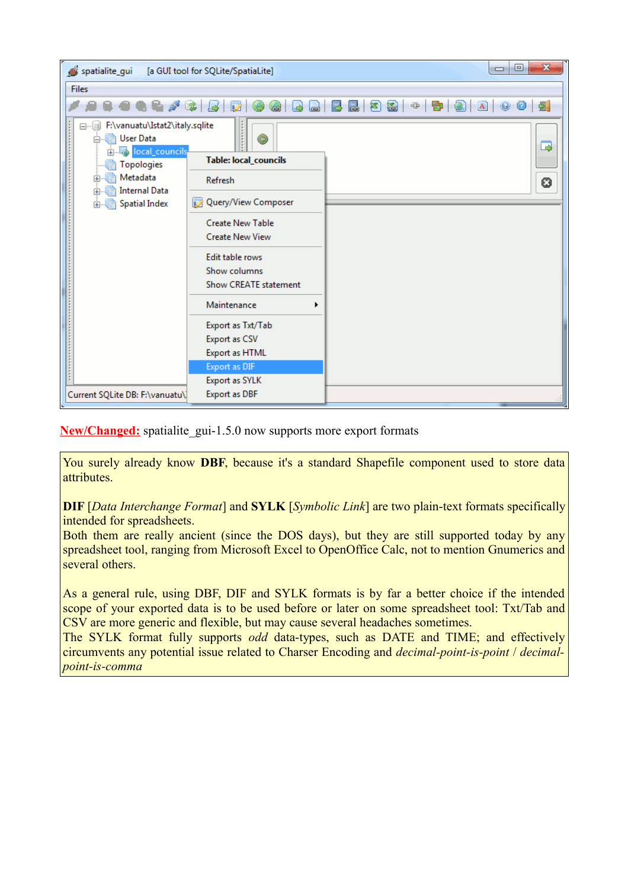| spatialite_gui                                                                     | [a GUI tool for SQLite/SpatiaLite] | $\mathbf{x}$<br>$\Box$<br>$\qquad \qquad \Box$                   |
|------------------------------------------------------------------------------------|------------------------------------|------------------------------------------------------------------|
| <b>Files</b>                                                                       |                                    |                                                                  |
| <b>AND</b>                                                                         | Ø<br>字<br>د<br>$rac{1}{2}$         | A 0 0 2<br>囻<br>525<br>$\mathbf{B} \mathbf{\Omega} $<br>$\oplus$ |
| □ F:\vanuatu\Istat2\italy.sqlite<br>白 图 User Data<br><b>图</b> local_councils<br>中… | Θ                                  | B                                                                |
| <b>Topologies</b>                                                                  | Table: local_councils              |                                                                  |
| Metadata<br>扄<br>田<br><b>Internal Data</b><br>扁<br>中                               | Refresh                            | 0                                                                |
| 由 <b>B</b> Spatial Index                                                           | Query/View Composer                |                                                                  |
|                                                                                    | <b>Create New Table</b>            |                                                                  |
|                                                                                    | <b>Create New View</b>             |                                                                  |
|                                                                                    | Edit table rows                    |                                                                  |
|                                                                                    | Show columns                       |                                                                  |
|                                                                                    | <b>Show CREATE statement</b>       |                                                                  |
|                                                                                    | Maintenance                        |                                                                  |
|                                                                                    | Export as Txt/Tab                  |                                                                  |
|                                                                                    | Export as CSV                      |                                                                  |
|                                                                                    | Export as HTML                     |                                                                  |
|                                                                                    | Export as DIF                      |                                                                  |
| Current SQLite DB: F:\vanuatu\]                                                    | Export as SYLK<br>Export as DBF    |                                                                  |
|                                                                                    |                                    |                                                                  |

**New/Changed:** spatialite gui-1.5.0 now supports more export formats

You surely already know **DBF**, because it's a standard Shapefile component used to store data attributes.

**DIF** [*Data Interchange Format*] and **SYLK** [*Symbolic Link*] are two plain-text formats specifically intended for spreadsheets.

Both them are really ancient (since the DOS days), but they are still supported today by any spreadsheet tool, ranging from Microsoft Excel to OpenOffice Calc, not to mention Gnumerics and several others.

As a general rule, using DBF, DIF and SYLK formats is by far a better choice if the intended scope of your exported data is to be used before or later on some spreadsheet tool: Txt/Tab and CSV are more generic and flexible, but may cause several headaches sometimes.

The SYLK format fully supports *odd* data-types, such as DATE and TIME; and effectively circumvents any potential issue related to Charser Encoding and *decimal-point-is-point* / *decimalpoint-is-comma*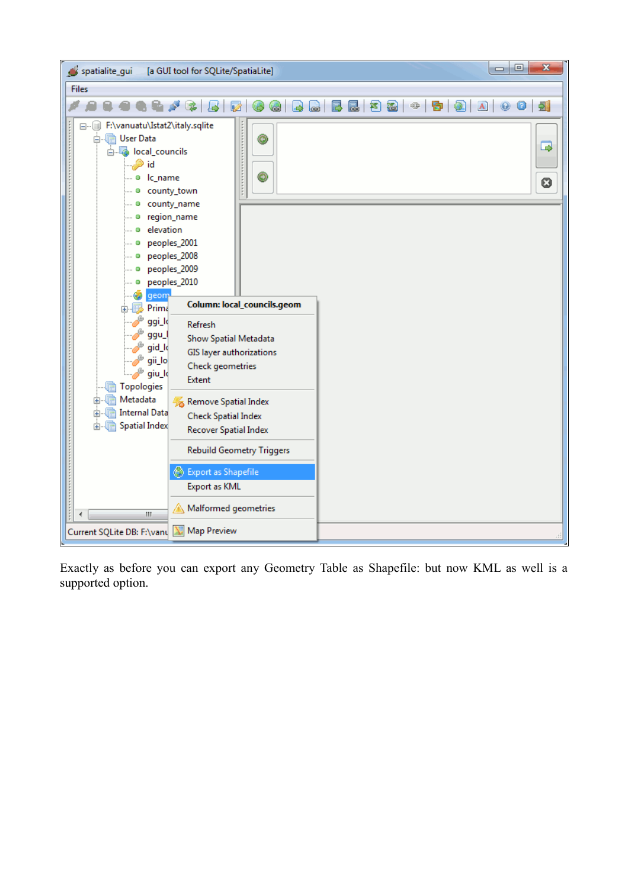

Exactly as before you can export any Geometry Table as Shapefile: but now KML as well is a supported option.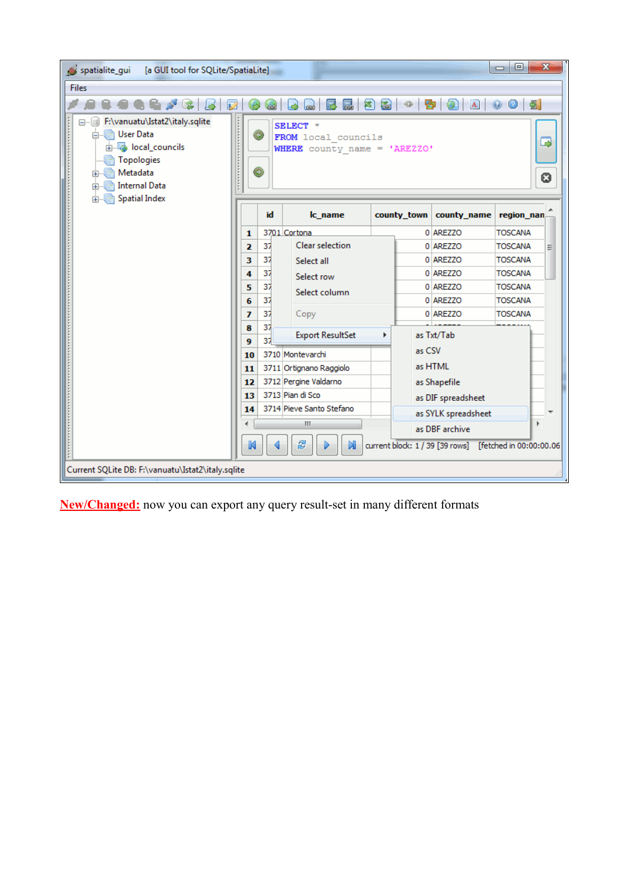| spatialite_qui<br>[a GUI tool for SQLite/SpatiaLite]                                                                                                                         |                               |                                                                        |   |               |                     | $\Box$ e<br>$\mathbf{x}$                                 |
|------------------------------------------------------------------------------------------------------------------------------------------------------------------------------|-------------------------------|------------------------------------------------------------------------|---|---------------|---------------------|----------------------------------------------------------|
| <b>Files</b>                                                                                                                                                                 |                               |                                                                        |   |               |                     |                                                          |
|                                                                                                                                                                              |                               | 厬<br>弩                                                                 | 福 | $\oplus$<br>寄 | A                   | 회<br>0<br>$\circledcirc$                                 |
| □ F:\vanuatu\Istat2\italy.sqlite<br>白 图 User Data<br>in the local_councils<br>Topologies<br>L. rà<br>由 <b>In Metadata</b><br><b>A. Data</b> Internal Data<br>由 Spatial Index | ◉<br>◉                        | SELECT *<br>FROM local councils<br><b>WHERE</b> county name = 'AREZZO' |   |               |                     | ⋑<br>0                                                   |
|                                                                                                                                                                              | id                            | Ic name                                                                |   | county town   | county_name         | region nan                                               |
|                                                                                                                                                                              | 1                             | 3701 Cortona                                                           |   |               | 0 AREZZO            | <b>TOSCANA</b>                                           |
|                                                                                                                                                                              | 37<br>$\overline{\mathbf{z}}$ | <b>Clear selection</b>                                                 |   |               | 0 AREZZO            | <b>TOSCANA</b><br>Ξ                                      |
|                                                                                                                                                                              | 37<br>з                       | Select all                                                             |   |               | 0 AREZZO            | <b>TOSCANA</b>                                           |
|                                                                                                                                                                              | 37<br>4                       | Select row                                                             |   |               | 0 AREZZO            | <b>TOSCANA</b>                                           |
|                                                                                                                                                                              | 37<br>5                       | Select column                                                          |   |               | 0 AREZZO            | <b>TOSCANA</b>                                           |
|                                                                                                                                                                              | 37<br>6                       |                                                                        |   |               | 0 AREZZO            | <b>TOSCANA</b>                                           |
|                                                                                                                                                                              | 37<br>7                       | Copy                                                                   |   |               | 0 AREZZO            | <b>TOSCANA</b>                                           |
|                                                                                                                                                                              | 37<br>8<br>37<br>9            | <b>Export ResultSet</b>                                                | Þ |               | as Txt/Tab          |                                                          |
|                                                                                                                                                                              | 10                            | 3710 Montevarchi                                                       |   | as CSV        |                     |                                                          |
|                                                                                                                                                                              | 11                            | 3711 Ortignano Raggiolo                                                |   |               | as HTML             |                                                          |
|                                                                                                                                                                              | 12                            | 3712 Pergine Valdarno                                                  |   |               | as Shapefile        |                                                          |
|                                                                                                                                                                              | 13                            | 3713 Pian di Sco                                                       |   |               | as DIF spreadsheet  |                                                          |
|                                                                                                                                                                              | 14                            | 3714 Pieve Santo Stefano                                               |   |               | as SYLK spreadsheet |                                                          |
|                                                                                                                                                                              |                               | Ш                                                                      |   |               | as DBF archive      | r                                                        |
|                                                                                                                                                                              |                               | 8<br>M                                                                 |   |               |                     | current block: 1 / 39 [39 rows] [fetched in 00:00:00.06] |
| Current SQLite DB: F:\vanuatu\Istat2\italy.sqlite                                                                                                                            |                               |                                                                        |   |               |                     |                                                          |

**New/Changed:** now you can export any query result-set in many different formats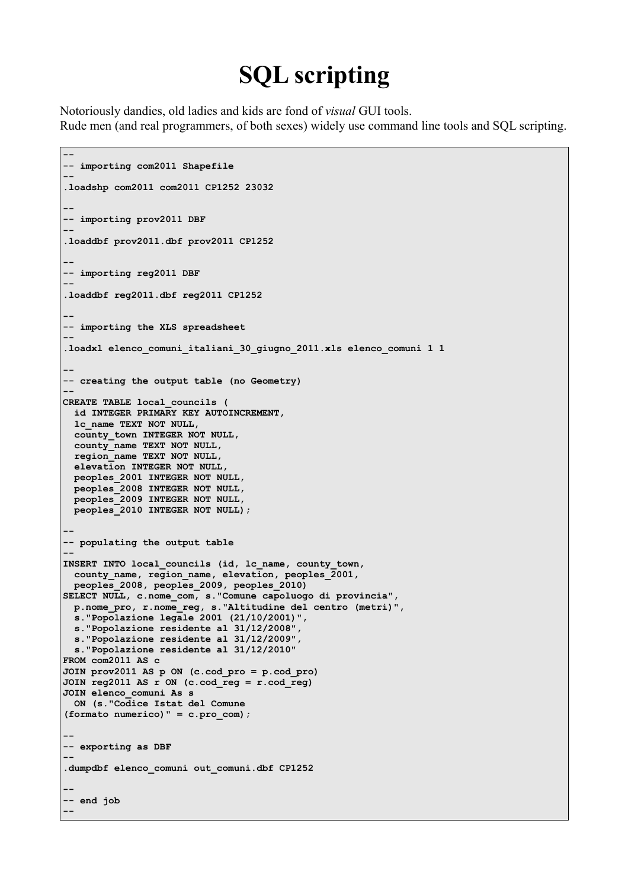## **SQL scripting**

Notoriously dandies, old ladies and kids are fond of *visual* GUI tools. Rude men (and real programmers, of both sexes) widely use command line tools and SQL scripting.

```
--
-- importing com2011 Shapefile
--
.loadshp com2011 com2011 CP1252 23032
--
-- importing prov2011 DBF
--
.loaddbf prov2011.dbf prov2011 CP1252
--
-- importing reg2011 DBF
--
.loaddbf reg2011.dbf reg2011 CP1252
--
-- importing the XLS spreadsheet
--
.loadxl elenco_comuni_italiani_30_giugno_2011.xls elenco_comuni 1 1
--
-- creating the output table (no Geometry)
--
CREATE TABLE local_councils (
  id INTEGER PRIMARY KEY AUTOINCREMENT,
  lc_name TEXT NOT NULL,
  county_town INTEGER NOT NULL,
  county_name TEXT NOT NULL,
  region_name TEXT NOT NULL,
  elevation INTEGER NOT NULL,
  peoples_2001 INTEGER NOT NULL,
  peoples_2008 INTEGER NOT NULL,
  peoples_2009 INTEGER NOT NULL,
  peoples_2010 INTEGER NOT NULL);
--
-- populating the output table
--
INSERT INTO local_councils (id, lc_name, county_town, 
 county name, region name, elevation, peoples 2001,
  peoples_2008, peoples_2009, peoples_2010) 
SELECT NULL, c.nome_com, s."Comune capoluogo di provincia", 
  p.nome_pro, r.nome_reg, s."Altitudine del centro (metri)",
  s."Popolazione legale 2001 (21/10/2001)",
  s."Popolazione residente al 31/12/2008",
  s."Popolazione residente al 31/12/2009",
  s."Popolazione residente al 31/12/2010"
FROM com2011 AS c
JOIN prov2011 AS p ON (c.cod_pro = p.cod_pro)
JOIN reg2011 AS r ON (c.cod_reg = r.cod_reg)
JOIN elenco_comuni As s
  ON (s."Codice Istat del Comune 
(formato numerico)" = c.pro_com);
--
-- exporting as DBF
--
.dumpdbf elenco_comuni out_comuni.dbf CP1252
--
-- end job
--
```